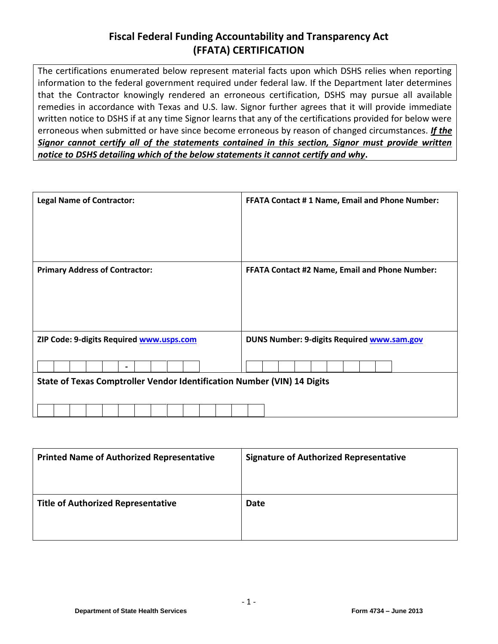# **Fiscal Federal Funding Accountability and Transparency Act (FFATA) CERTIFICATION**

The certifications enumerated below represent material facts upon which DSHS relies when reporting information to the federal government required under federal law. If the Department later determines that the Contractor knowingly rendered an erroneous certification, DSHS may pursue all available remedies in accordance with Texas and U.S. law. Signor further agrees that it will provide immediate written notice to DSHS if at any time Signor learns that any of the certifications provided for below were erroneous when submitted or have since become erroneous by reason of changed circumstances. *If the Signor cannot certify all of the statements contained in this section, Signor must provide written notice to DSHS detailing which of the below statements it cannot certify and why***.**

| <b>Legal Name of Contractor:</b>                                        |  |  |  |  |                |  |                                                       |  | <b>FFATA Contact #1 Name, Email and Phone Number:</b> |  |  |  |  |  |  |  |  |  |  |  |                                            |  |  |  |  |
|-------------------------------------------------------------------------|--|--|--|--|----------------|--|-------------------------------------------------------|--|-------------------------------------------------------|--|--|--|--|--|--|--|--|--|--|--|--------------------------------------------|--|--|--|--|
| <b>Primary Address of Contractor:</b>                                   |  |  |  |  |                |  | <b>FFATA Contact #2 Name, Email and Phone Number:</b> |  |                                                       |  |  |  |  |  |  |  |  |  |  |  |                                            |  |  |  |  |
| ZIP Code: 9-digits Required www.usps.com                                |  |  |  |  | $\blacksquare$ |  |                                                       |  |                                                       |  |  |  |  |  |  |  |  |  |  |  | DUNS Number: 9-digits Required www.sam.gov |  |  |  |  |
| State of Texas Comptroller Vendor Identification Number (VIN) 14 Digits |  |  |  |  |                |  |                                                       |  |                                                       |  |  |  |  |  |  |  |  |  |  |  |                                            |  |  |  |  |

| <b>Printed Name of Authorized Representative</b> | <b>Signature of Authorized Representative</b> |
|--------------------------------------------------|-----------------------------------------------|
| <b>Title of Authorized Representative</b>        | Date                                          |